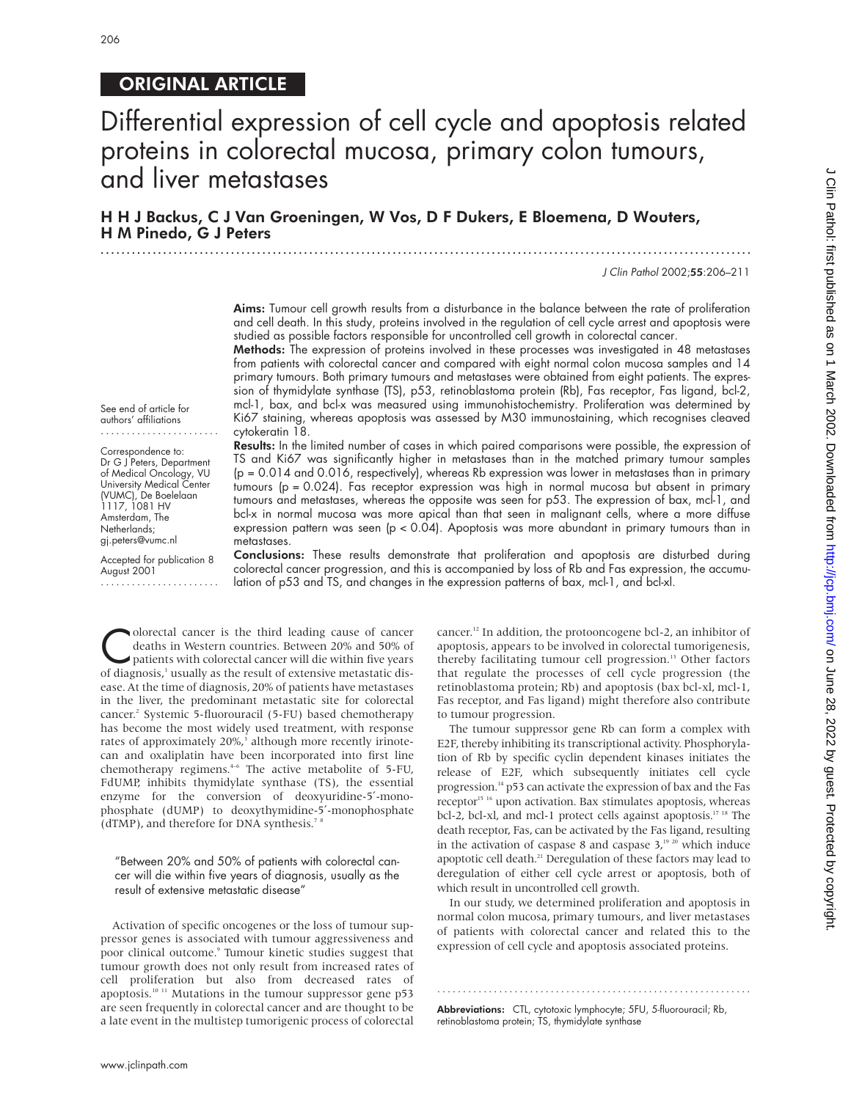# ORIGINAL ARTICLE

# Differential expression of cell cycle and apoptosis related proteins in colorectal mucosa, primary colon tumours, and liver metastases

## H H J Backus, C J Van Groeningen, W Vos, D F Dukers, E Bloemena, D Wouters, H M Pinedo, G J Peters

.............................................................................................................................

J Clin Pathol 2002;55:206–211

Aims: Tumour cell growth results from a disturbance in the balance between the rate of proliferation and cell death. In this study, proteins involved in the regulation of cell cycle arrest and apoptosis were studied as possible factors responsible for uncontrolled cell growth in colorectal cancer.

Methods: The expression of proteins involved in these processes was investigated in 48 metastases from patients with colorectal cancer and compared with eight normal colon mucosa samples and 14 primary tumours. Both primary tumours and metastases were obtained from eight patients. The expression of thymidylate synthase (TS), p53, retinoblastoma protein (Rb), Fas receptor, Fas ligand, bcl-2, mcl-1, bax, and bcl-x was measured using immunohistochemistry. Proliferation was determined by Ki67 staining, whereas apoptosis was assessed by M30 immunostaining, which recognises cleaved cytokeratin 18.

See end of article for authors' affiliations .......................

Correspondence to: Dr G J Peters, Department of Medical Oncology, VU University Medical Center (VUMC), De Boelelaan 1117, 1081 HV Amsterdam, The Netherlands; gj.peters@vumc.nl

Accepted for publication 8 August 2001 .......................

Results: In the limited number of cases in which paired comparisons were possible, the expression of TS and Ki67 was significantly higher in metastases than in the matched primary tumour samples  $(p = 0.014$  and  $0.016$ , respectively), whereas Rb expression was lower in metastases than in primary tumours (p = 0.024). Fas receptor expression was high in normal mucosa but absent in primary tumours and metastases, whereas the opposite was seen for p53. The expression of bax, mcl-1, and bcl-x in normal mucosa was more apical than that seen in malignant cells, where a more diffuse expression pattern was seen (p < 0.04). Apoptosis was more abundant in primary tumours than in metastases.

Conclusions: These results demonstrate that proliferation and apoptosis are disturbed during colorectal cancer progression, and this is accompanied by loss of Rb and Fas expression, the accumulation of p53 and TS, and changes in the expression patterns of bax, mcl-1, and bcl-xl.

Colorectal cancer is the third leading cause of cancer<br>deaths in Western countries. Between 20% and 50% of<br>patients with colorectal cancer will die within five years<br>of diagnosis<sup>1</sup> usually as the result of extensive metas deaths in Western countries. Between 20% and 50% of patients with colorectal cancer will die within five years of diagnosis,<sup>1</sup> usually as the result of extensive metastatic disease. At the time of diagnosis, 20% of patients have metastases in the liver, the predominant metastatic site for colorectal cancer.2 Systemic 5-fluorouracil (5-FU) based chemotherapy has become the most widely used treatment, with response rates of approximately 20%,<sup>3</sup> although more recently irinotecan and oxaliplatin have been incorporated into first line chemotherapy regimens.4–6 The active metabolite of 5-FU, FdUMP, inhibits thymidylate synthase (TS), the essential enzyme for the conversion of deoxyuridine-5′-monophosphate (dUMP) to deoxythymidine-5′-monophosphate (dTMP), and therefore for DNA synthesis.<sup>78</sup>

"Between 20% and 50% of patients with colorectal cancer will die within five years of diagnosis, usually as the result of extensive metastatic disease"

Activation of specific oncogenes or the loss of tumour suppressor genes is associated with tumour aggressiveness and poor clinical outcome.<sup>9</sup> Tumour kinetic studies suggest that tumour growth does not only result from increased rates of cell proliferation but also from decreased rates of apoptosis.<sup>10 11</sup> Mutations in the tumour suppressor gene p53 are seen frequently in colorectal cancer and are thought to be a late event in the multistep tumorigenic process of colorectal

cancer.12 In addition, the protooncogene bcl-2, an inhibitor of apoptosis, appears to be involved in colorectal tumorigenesis, thereby facilitating tumour cell progression.<sup>13</sup> Other factors that regulate the processes of cell cycle progression (the retinoblastoma protein; Rb) and apoptosis (bax bcl-xl, mcl-1, Fas receptor, and Fas ligand) might therefore also contribute to tumour progression.

The tumour suppressor gene Rb can form a complex with E2F, thereby inhibiting its transcriptional activity. Phosphorylation of Rb by specific cyclin dependent kinases initiates the release of E2F, which subsequently initiates cell cycle progression.14 p53 can activate the expression of bax and the Fas receptor<sup>15 16</sup> upon activation. Bax stimulates apoptosis, whereas bcl-2, bcl-xl, and mcl-1 protect cells against apoptosis.<sup>17 18</sup> The death receptor, Fas, can be activated by the Fas ligand, resulting in the activation of caspase 8 and caspase  $3,1920$  which induce apoptotic cell death.<sup>21</sup> Deregulation of these factors may lead to deregulation of either cell cycle arrest or apoptosis, both of which result in uncontrolled cell growth.

In our study, we determined proliferation and apoptosis in normal colon mucosa, primary tumours, and liver metastases of patients with colorectal cancer and related this to the expression of cell cycle and apoptosis associated proteins.

.............................................................

Abbreviations: CTL, cytotoxic lymphocyte; 5FU, 5-fluorouracil; Rb, retinoblastoma protein; TS, thymidylate synthase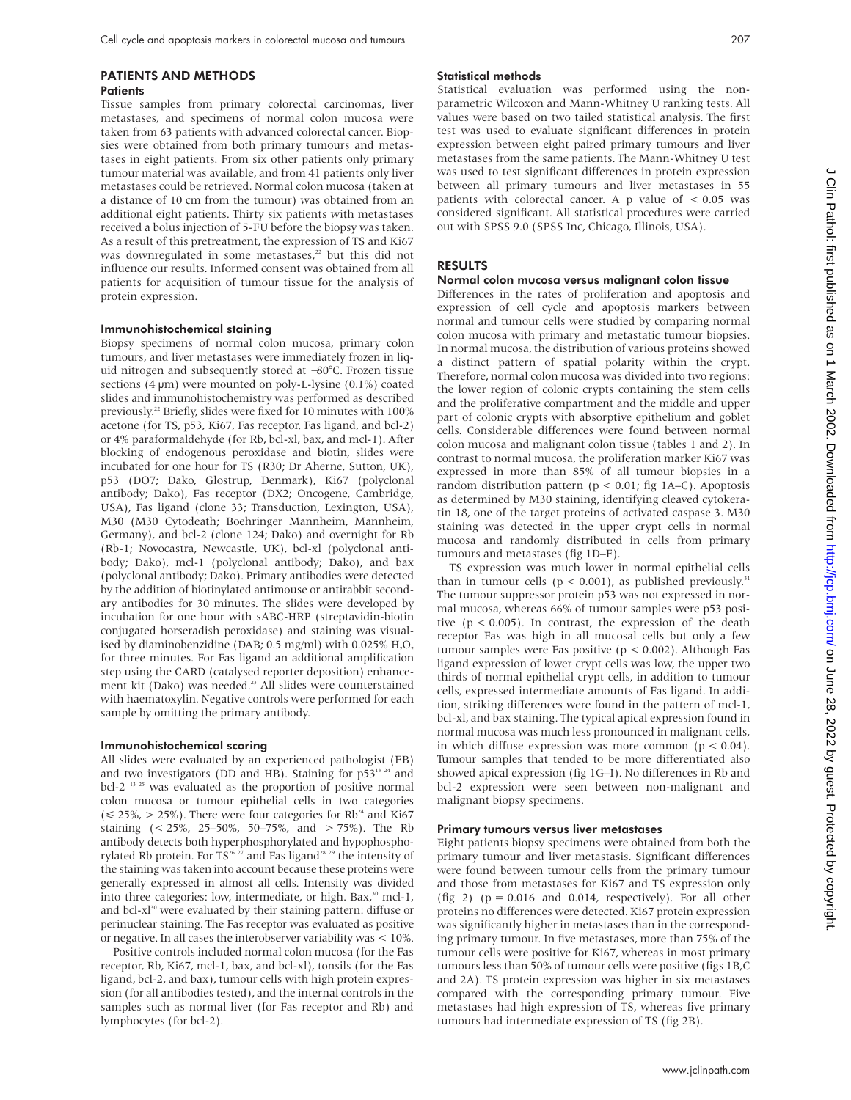## PATIENTS AND METHODS **Patients**

Tissue samples from primary colorectal carcinomas, liver metastases, and specimens of normal colon mucosa were taken from 63 patients with advanced colorectal cancer. Biopsies were obtained from both primary tumours and metastases in eight patients. From six other patients only primary tumour material was available, and from 41 patients only liver metastases could be retrieved. Normal colon mucosa (taken at a distance of 10 cm from the tumour) was obtained from an additional eight patients. Thirty six patients with metastases received a bolus injection of 5-FU before the biopsy was taken. As a result of this pretreatment, the expression of TS and Ki67 was downregulated in some metastases,<sup>22</sup> but this did not influence our results. Informed consent was obtained from all patients for acquisition of tumour tissue for the analysis of protein expression.

## Immunohistochemical staining

Biopsy specimens of normal colon mucosa, primary colon tumours, and liver metastases were immediately frozen in liquid nitrogen and subsequently stored at −80°C. Frozen tissue sections  $(4 \mu m)$  were mounted on poly-L-lysine  $(0.1\%)$  coated slides and immunohistochemistry was performed as described previously.<sup>22</sup> Briefly, slides were fixed for 10 minutes with 100% acetone (for TS, p53, Ki67, Fas receptor, Fas ligand, and bcl-2) or 4% paraformaldehyde (for Rb, bcl-xl, bax, and mcl-1). After blocking of endogenous peroxidase and biotin, slides were incubated for one hour for TS (R30; Dr Aherne, Sutton, UK), p53 (DO7; Dako, Glostrup, Denmark), Ki67 (polyclonal antibody; Dako), Fas receptor (DX2; Oncogene, Cambridge, USA), Fas ligand (clone 33; Transduction, Lexington, USA), M30 (M30 Cytodeath; Boehringer Mannheim, Mannheim, Germany), and bcl-2 (clone 124; Dako) and overnight for Rb (Rb-1; Novocastra, Newcastle, UK), bcl-xl (polyclonal antibody; Dako), mcl-1 (polyclonal antibody; Dako), and bax (polyclonal antibody; Dako). Primary antibodies were detected by the addition of biotinylated antimouse or antirabbit secondary antibodies for 30 minutes. The slides were developed by incubation for one hour with sABC-HRP (streptavidin-biotin conjugated horseradish peroxidase) and staining was visualised by diaminobenzidine (DAB;  $0.5$  mg/ml) with  $0.025\%$  H,O<sub>2</sub> for three minutes. For Fas ligand an additional amplification step using the CARD (catalysed reporter deposition) enhancement kit (Dako) was needed.<sup>23</sup> All slides were counterstained with haematoxylin. Negative controls were performed for each sample by omitting the primary antibody.

## Immunohistochemical scoring

All slides were evaluated by an experienced pathologist (EB) and two investigators (DD and HB). Staining for  $p53^{13}$   $^{24}$  and bcl-2<sup>13 25</sup> was evaluated as the proportion of positive normal colon mucosa or tumour epithelial cells in two categories  $(\leq 25\%, > 25\%)$ . There were four categories for Rb<sup>24</sup> and Ki67 staining  $\left($  < 25%, 25–50%, 50–75%, and  $>$  75%). The Rb antibody detects both hyperphosphorylated and hypophosphorylated Rb protein. For  $TS^{26\ 27}$  and Fas ligand<sup>28 29</sup> the intensity of the staining was taken into account because these proteins were generally expressed in almost all cells. Intensity was divided into three categories: low, intermediate, or high. Bax,<sup>30</sup> mcl-1, and bcl- $x<sup>30</sup>$  were evaluated by their staining pattern: diffuse or perinuclear staining. The Fas receptor was evaluated as positive or negative. In all cases the interobserver variability was < 10%.

Positive controls included normal colon mucosa (for the Fas receptor, Rb, Ki67, mcl-1, bax, and bcl-xl), tonsils (for the Fas ligand, bcl-2, and bax), tumour cells with high protein expression (for all antibodies tested), and the internal controls in the samples such as normal liver (for Fas receptor and Rb) and lymphocytes (for bcl-2).

## Statistical methods

Statistical evaluation was performed using the nonparametric Wilcoxon and Mann-Whitney U ranking tests. All values were based on two tailed statistical analysis. The first test was used to evaluate significant differences in protein expression between eight paired primary tumours and liver metastases from the same patients. The Mann-Whitney U test was used to test significant differences in protein expression between all primary tumours and liver metastases in 55 patients with colorectal cancer. A p value of < 0.05 was considered significant. All statistical procedures were carried out with SPSS 9.0 (SPSS Inc, Chicago, Illinois, USA).

## RESULTS

## Normal colon mucosa versus malignant colon tissue

Differences in the rates of proliferation and apoptosis and expression of cell cycle and apoptosis markers between normal and tumour cells were studied by comparing normal colon mucosa with primary and metastatic tumour biopsies. In normal mucosa, the distribution of various proteins showed a distinct pattern of spatial polarity within the crypt. Therefore, normal colon mucosa was divided into two regions: the lower region of colonic crypts containing the stem cells and the proliferative compartment and the middle and upper part of colonic crypts with absorptive epithelium and goblet cells. Considerable differences were found between normal colon mucosa and malignant colon tissue (tables 1 and 2). In contrast to normal mucosa, the proliferation marker Ki67 was expressed in more than 85% of all tumour biopsies in a random distribution pattern ( $p < 0.01$ ; fig 1A–C). Apoptosis as determined by M30 staining, identifying cleaved cytokeratin 18, one of the target proteins of activated caspase 3. M30 staining was detected in the upper crypt cells in normal mucosa and randomly distributed in cells from primary tumours and metastases (fig 1D–F).

TS expression was much lower in normal epithelial cells than in tumour cells ( $p < 0.001$ ), as published previously.<sup>31</sup> The tumour suppressor protein p53 was not expressed in normal mucosa, whereas 66% of tumour samples were p53 positive ( $p < 0.005$ ). In contrast, the expression of the death receptor Fas was high in all mucosal cells but only a few tumour samples were Fas positive ( $p < 0.002$ ). Although Fas ligand expression of lower crypt cells was low, the upper two thirds of normal epithelial crypt cells, in addition to tumour cells, expressed intermediate amounts of Fas ligand. In addition, striking differences were found in the pattern of mcl-1, bcl-xl, and bax staining. The typical apical expression found in normal mucosa was much less pronounced in malignant cells, in which diffuse expression was more common  $(p < 0.04)$ . Tumour samples that tended to be more differentiated also showed apical expression (fig 1G–I). No differences in Rb and bcl-2 expression were seen between non-malignant and malignant biopsy specimens.

## Primary tumours versus liver metastases

Eight patients biopsy specimens were obtained from both the primary tumour and liver metastasis. Significant differences were found between tumour cells from the primary tumour and those from metastases for Ki67 and TS expression only (fig 2) ( $p = 0.016$  and 0.014, respectively). For all other proteins no differences were detected. Ki67 protein expression was significantly higher in metastases than in the corresponding primary tumour. In five metastases, more than 75% of the tumour cells were positive for Ki67, whereas in most primary tumours less than 50% of tumour cells were positive (figs 1B,C and 2A). TS protein expression was higher in six metastases compared with the corresponding primary tumour. Five metastases had high expression of TS, whereas five primary tumours had intermediate expression of TS (fig 2B).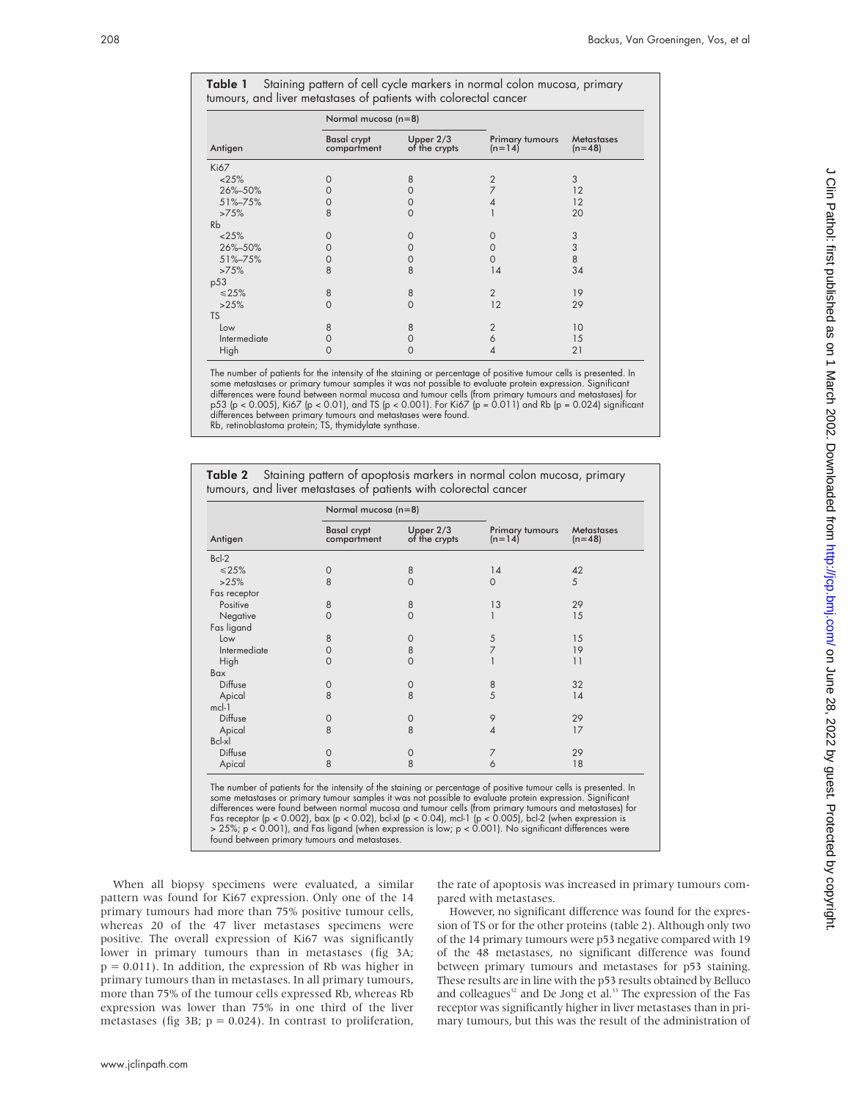| <b>Table 1</b> Staining pattern of cell cycle markers in normal colon mucosa, primary |  |  |
|---------------------------------------------------------------------------------------|--|--|
| tumours, and liver metastases of patients with colorectal cancer                      |  |  |

|              | Normal mucosa (n=8)               |                                   |                             |                               |
|--------------|-----------------------------------|-----------------------------------|-----------------------------|-------------------------------|
| Antigen      | <b>Basal crypt</b><br>compartment | Upper 2/3<br>of the crypts        | Primary tumours<br>$(n=14)$ | <b>Metastases</b><br>$(n=48)$ |
| Ki67         |                                   |                                   |                             |                               |
| <25%         | $\Omega$                          | 8                                 | $\overline{2}$              | 3                             |
| 26%-50%      | $\left( \right)$                  | $\mathcal{O}$                     | 7                           | 12                            |
| 51%-75%      |                                   | ( )                               | 4                           | 12                            |
| >75%         | 8                                 | $\left( \right)$                  |                             | 20                            |
| Rb           |                                   |                                   |                             |                               |
| <25%         | $\Omega$                          |                                   | 0                           | 3                             |
| 26%-50%      | Ω                                 | $\left( \right)$                  | 0                           | $\sqrt{3}$                    |
| 51%-75%      | O                                 | $\mathcal{O}$                     | ∩                           | 8                             |
| >75%         | 8                                 | 8                                 | 14                          | 34                            |
| p53          |                                   |                                   |                             |                               |
| $\leq 25\%$  | 8                                 | 8                                 | $\overline{2}$              | 19                            |
| >25%         | O                                 | $\left($                          | 12                          | 29                            |
| <b>TS</b>    |                                   |                                   |                             |                               |
| Low          | 8                                 | 8                                 | $\overline{2}$              | 10                            |
| Intermediate |                                   | $\mathcal{O}$                     | 6                           | 15                            |
| High         | Ω                                 | $\scriptstyle\rm\scriptstyle{()}$ |                             | 21                            |

The number of patients for the intensity of the staining or percentage of positive tumour cells is presented. In some metastases or primary tumour samples it was not possible to evaluate protein expression. Significant differences were found between normal mucosa and tumour cells (from primary tumours and metastases) for<br>p53 (p < 0.005), Kió7 (p < 0.011), and TS (p < 0.001). For Kió7 (p = 0.011) and Rb (p = 0.024) significant<br>differences

Table 2 Staining pattern of apoptosis markers in normal colon mucosa, primary tumours, and liver metastases of patients with colorectal cancer

|              | Normal mucosa (n=8)               |                              |                             | <b>Metastases</b><br>$(n=48)$ |
|--------------|-----------------------------------|------------------------------|-----------------------------|-------------------------------|
| Antigen      | <b>Basal crypt</b><br>compartment | Upper $2/3$<br>of the crypts | Primary tumours<br>$(n=14)$ |                               |
| $Bcl-2$      |                                   |                              |                             |                               |
| $\leq 25\%$  | $\Omega$                          | 8                            | 14                          | 42                            |
| >25%         | 8                                 | 0                            | $\mathbf 0$                 | 5                             |
| Fas receptor |                                   |                              |                             |                               |
| Positive     | 8                                 | 8                            | 13                          | 29                            |
| Negative     | $\Omega$                          | $\Omega$                     |                             | 15                            |
| Fas ligand   |                                   |                              |                             |                               |
| Low          | 8                                 | $\circ$                      | 5                           | 15                            |
| Intermediate | $\Omega$                          | 8                            | $\overline{7}$              | 19                            |
| High         | $\Omega$                          | $\Omega$                     |                             | 11                            |
| Bax          |                                   |                              |                             |                               |
| Diffuse      | $\circ$                           | $\circ$                      | 8                           | 32                            |
| Apical       | 8                                 | 8                            | 5                           | 14                            |
| $mcl-1$      |                                   |                              |                             |                               |
| Diffuse      | 0                                 | 0                            | 9                           | 29                            |
| Apical       | 8                                 | 8                            | $\overline{4}$              | 17                            |
| $Bcl-xl$     |                                   |                              |                             |                               |
| Diffuse      | $\Omega$                          | $\circ$                      | 7                           | 29                            |
| Apical       | 8                                 | 8                            | 6                           | 18                            |

The number of patients for the intensity of the staining or percentage of positive tumour cells is presented. In some metastases or primary tumour samples it was not possible to evaluate protein expression. Significant differences were found between normal mucosa and tumour cells (from primary tumours and metastases) for<br>Fas receptor (p < 0.002), bax (p < 0.02), bcl-xl (p < 0.04), mcl-1 (p < 0.005), bcl-2 (when expression is<br>> 25%; p < 0 found between primary tumours and metastases.

When all biopsy specimens were evaluated, a similar pattern was found for Ki67 expression. Only one of the 14 primary tumours had more than 75% positive tumour cells, whereas 20 of the 47 liver metastases specimens were positive. The overall expression of Ki67 was significantly lower in primary tumours than in metastases (fig 3A;  $p = 0.011$ ). In addition, the expression of Rb was higher in primary tumours than in metastases. In all primary tumours, more than 75% of the tumour cells expressed Rb, whereas Rb expression was lower than 75% in one third of the liver metastases (fig 3B;  $p = 0.024$ ). In contrast to proliferation,

the rate of apoptosis was increased in primary tumours compared with metastases.

However, no significant difference was found for the expression of TS or for the other proteins (table 2). Although only two of the 14 primary tumours were p53 negative compared with 19 of the 48 metastases, no significant difference was found between primary tumours and metastases for p53 staining. These results are in line with the p53 results obtained by Belluco and colleagues<sup>32</sup> and De Jong et al.<sup>33</sup> The expression of the Fas receptor was significantly higher in liver metastases than in primary tumours, but this was the result of the administration of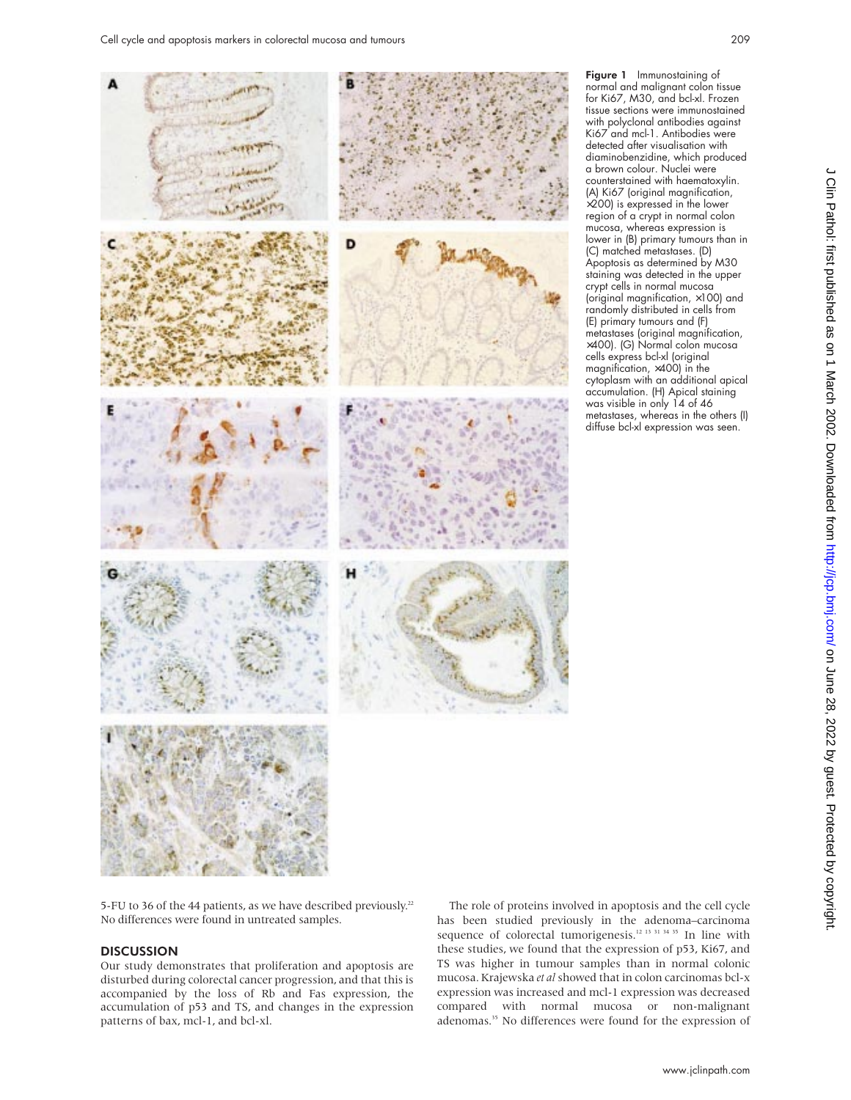

Figure 1 Immunostaining of normal and malignant colon tissue for Ki67, M30, and bcl-xl. Frozen tissue sections were immunostained with polyclonal antibodies against Ki67 and mcl-1. Antibodies were detected after visualisation with diaminobenzidine, which produced a brown colour. Nuclei were counterstained with haematoxylin. (A) Ki67 (original magnification,  $\times$ 200) is expressed in the lower region of a crypt in normal colon mucosa, whereas expression is lower in (B) primary tumours than in (C) matched metastases. (D) Apoptosis as determined by M30 staining was detected in the upper crypt cells in normal mucosa (original magnification, ×100) and randomly distributed in cells from (E) primary tumours and (F) metastases (original magnification, ×400). (G) Normal colon mucosa cells express bcl-xl (original magnification, ×400) in the cytoplasm with an additional apical accumulation. (H) Apical staining was visible in only 14 of 46 metastases, whereas in the others (I) diffuse bcl-xl expression was seen.

5-FU to 36 of the 44 patients, as we have described previously.<sup>22</sup> No differences were found in untreated samples.

## **DISCUSSION**

Our study demonstrates that proliferation and apoptosis are disturbed during colorectal cancer progression, and that this is accompanied by the loss of Rb and Fas expression, the accumulation of p53 and TS, and changes in the expression patterns of bax, mcl-1, and bcl-xl.

The role of proteins involved in apoptosis and the cell cycle has been studied previously in the adenoma–carcinoma sequence of colorectal tumorigenesis.<sup>12 13 31 34 35</sup> In line with these studies, we found that the expression of p53, Ki67, and TS was higher in tumour samples than in normal colonic mucosa. Krajewska *et al* showed that in colon carcinomas bcl-x expression was increased and mcl-1 expression was decreased compared with normal mucosa or non-malignant adenomas.<sup>35</sup> No differences were found for the expression of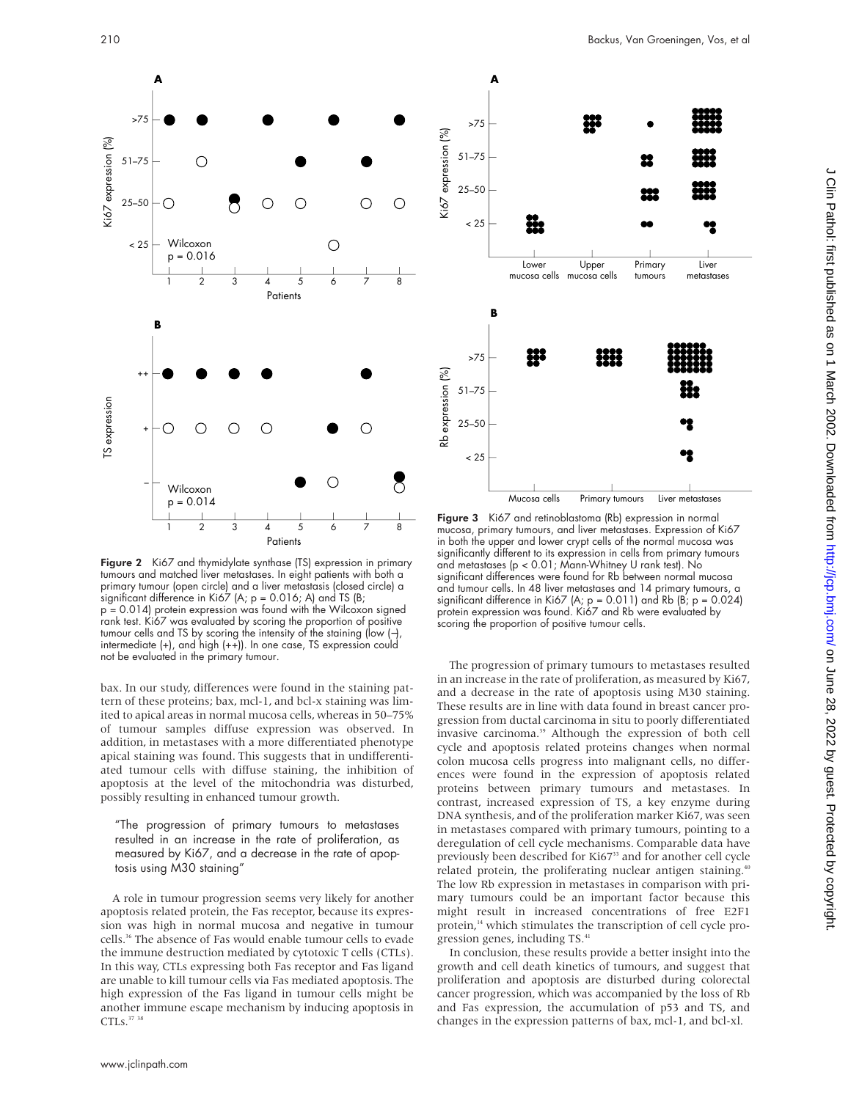

Figure 2 Ki67 and thymidylate synthase (TS) expression in primary tumours and matched liver metastases. In eight patients with both a primary tumour (open circle) and a liver metastasis (closed circle) a significant difference in Ki67 (A;  $p = 0.016$ ; A) and TS (B; p = 0.014) protein expression was found with the Wilcoxon signed rank test. Ki67 was evaluated by scoring the proportion of positive tumour cells and TS by scoring the intensity of the staining (low (−), intermediate (+), and high (++)). In one case, TS expression could not be evaluated in the primary tumour.

bax. In our study, differences were found in the staining pattern of these proteins; bax, mcl-1, and bcl-x staining was limited to apical areas in normal mucosa cells, whereas in 50–75% of tumour samples diffuse expression was observed. In addition, in metastases with a more differentiated phenotype apical staining was found. This suggests that in undifferentiated tumour cells with diffuse staining, the inhibition of apoptosis at the level of the mitochondria was disturbed, possibly resulting in enhanced tumour growth.

"The progression of primary tumours to metastases resulted in an increase in the rate of proliferation, as measured by Ki67, and a decrease in the rate of apoptosis using M30 staining"

A role in tumour progression seems very likely for another apoptosis related protein, the Fas receptor, because its expression was high in normal mucosa and negative in tumour cells.36 The absence of Fas would enable tumour cells to evade the immune destruction mediated by cytotoxic T cells (CTLs). In this way, CTLs expressing both Fas receptor and Fas ligand are unable to kill tumour cells via Fas mediated apoptosis. The high expression of the Fas ligand in tumour cells might be another immune escape mechanism by inducing apoptosis in CTLs.<sup>37</sup> <sup>38</sup>



 $\frac{1}{2}$   $\frac{1}{3}$   $\frac{1}{4}$   $\frac{1}{5}$   $\frac{1}{6}$   $\frac{1}{7}$   $\frac{8}{8}$  Figure 3 Ki67 and retinoblastoma (Rb) expression in normal mucosa, primary tumours, and liver metastases. Expression of Ki67 in both the upper and lower crypt cells of the normal mucosa was significantly different to its expression in cells from primary tumours and metastases (p < 0.01; Mann-Whitney U rank test). No significant differences were found for Rb between normal mucosa and tumour cells. In 48 liver metastases and 14 primary tumours, a significant difference in Ki67 (A;  $p = 0.011$ ) and Rb (B;  $p = 0.024$ ) protein expression was found. Ki67 and Rb were evaluated by scoring the proportion of positive tumour cells.

The progression of primary tumours to metastases resulted in an increase in the rate of proliferation, as measured by Ki67, and a decrease in the rate of apoptosis using M30 staining. These results are in line with data found in breast cancer progression from ductal carcinoma in situ to poorly differentiated invasive carcinoma.<sup>39</sup> Although the expression of both cell cycle and apoptosis related proteins changes when normal colon mucosa cells progress into malignant cells, no differences were found in the expression of apoptosis related proteins between primary tumours and metastases. In contrast, increased expression of TS, a key enzyme during DNA synthesis, and of the proliferation marker Ki67, was seen in metastases compared with primary tumours, pointing to a deregulation of cell cycle mechanisms. Comparable data have previously been described for Ki67<sup>33</sup> and for another cell cycle related protein, the proliferating nuclear antigen staining.<sup>4</sup> The low Rb expression in metastases in comparison with primary tumours could be an important factor because this might result in increased concentrations of free E2F1 protein,<sup>14</sup> which stimulates the transcription of cell cycle progression genes, including TS.<sup>41</sup>

In conclusion, these results provide a better insight into the growth and cell death kinetics of tumours, and suggest that proliferation and apoptosis are disturbed during colorectal cancer progression, which was accompanied by the loss of Rb and Fas expression, the accumulation of p53 and TS, and changes in the expression patterns of bax, mcl-1, and bcl-xl.